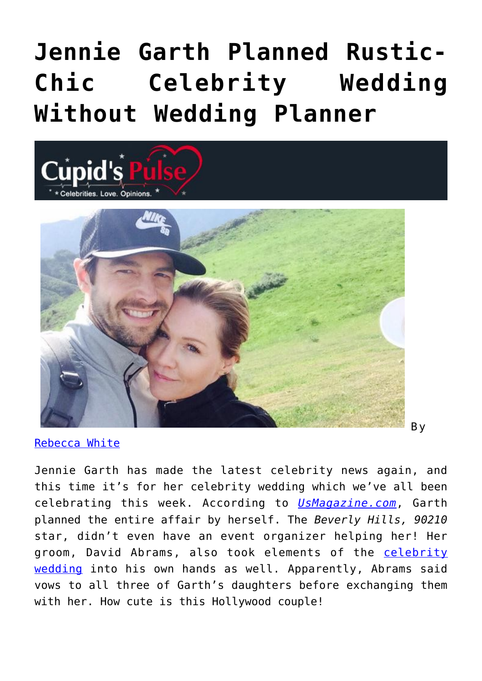# **[Jennie Garth Planned Rustic-](https://cupidspulse.com/96131/jennie-garth-celebrity-wedding/)[Chic Celebrity Wedding](https://cupidspulse.com/96131/jennie-garth-celebrity-wedding/) [Without Wedding Planner](https://cupidspulse.com/96131/jennie-garth-celebrity-wedding/)**





[Rebecca White](http://cupidspulse.com/104603/rebecca-white/)

Jennie Garth has made the latest celebrity news again, and this time it's for her celebrity wedding which we've all been celebrating this week. According to *[UsMagazine.com](http://www.usmagazine.com/celebrity-news/news/jennie-garth-planned-her-own-rustic-chic-wedding-all-the-details-2015147)*, Garth planned the entire affair by herself. The *Beverly Hills, 90210* star, didn't even have an event organizer helping her! Her groom, David Abrams, also took elements of the [celebrity](http://cupidspulse.com/celebrity-relationships/wedding-engagement/) [wedding](http://cupidspulse.com/celebrity-relationships/wedding-engagement/) into his own hands as well. Apparently, Abrams said vows to all three of Garth's daughters before exchanging them with her. How cute is this Hollywood couple!

B y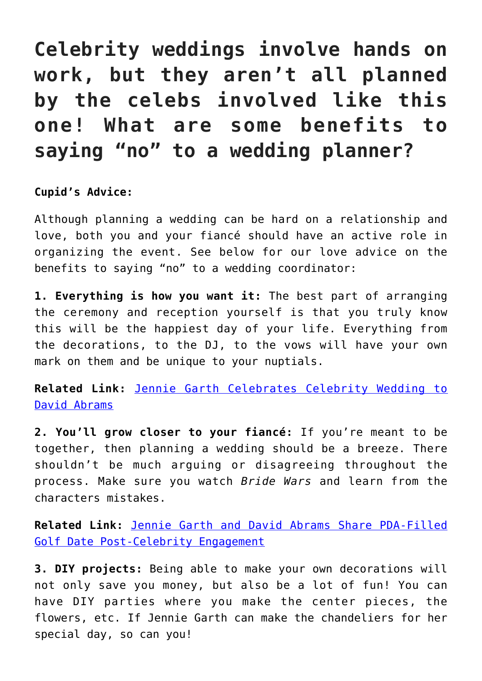### **Celebrity weddings involve hands on work, but they aren't all planned by the celebs involved like this one! What are some benefits to saying "no" to a wedding planner?**

### **Cupid's Advice:**

Although planning a wedding can be hard on a relationship and love, both you and your fiancé should have an active role in organizing the event. See below for our love advice on the benefits to saying "no" to a wedding coordinator:

**1. Everything is how you want it:** The best part of arranging the ceremony and reception yourself is that you truly know this will be the happiest day of your life. Everything from the decorations, to the DJ, to the vows will have your own mark on them and be unique to your nuptials.

**Related Link:** [Jennie Garth Celebrates Celebrity Wedding to](http://cupidspulse.com/95758/jennie-garth-celebrates-celebrity-wedding-david-abrams/) [David Abrams](http://cupidspulse.com/95758/jennie-garth-celebrates-celebrity-wedding-david-abrams/)

**2. You'll grow closer to your fiancé:** If you're meant to be together, then planning a wedding should be a breeze. There shouldn't be much arguing or disagreeing throughout the process. Make sure you watch *Bride Wars* and learn from the characters mistakes.

**Related Link:** [Jennie Garth and David Abrams Share PDA-Filled](http://cupidspulse.com/92182/jennie-garth-david-abrams-pda-filled-golf-date-post-celebrity-engagement/) [Golf Date Post-Celebrity Engagement](http://cupidspulse.com/92182/jennie-garth-david-abrams-pda-filled-golf-date-post-celebrity-engagement/)

**3. DIY projects:** Being able to make your own decorations will not only save you money, but also be a lot of fun! You can have DIY parties where you make the center pieces, the flowers, etc. If Jennie Garth can make the chandeliers for her special day, so can you!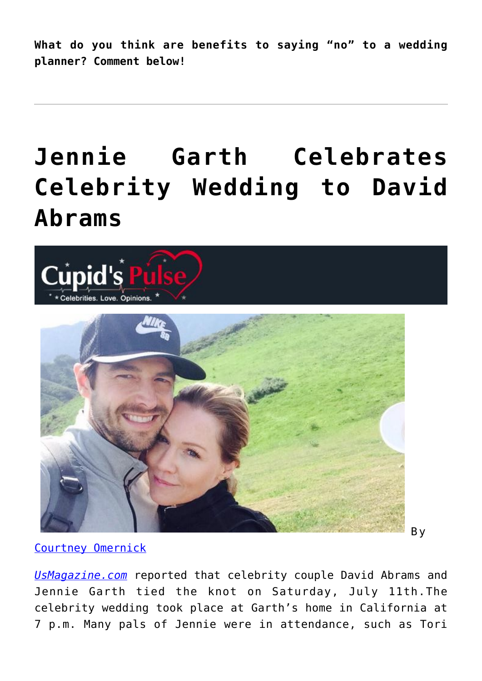**What do you think are benefits to saying "no" to a wedding planner? Comment below!**

# **[Jennie Garth Celebrates](https://cupidspulse.com/95758/jennie-garth-celebrates-celebrity-wedding-david-abrams/) [Celebrity Wedding to David](https://cupidspulse.com/95758/jennie-garth-celebrates-celebrity-wedding-david-abrams/) [Abrams](https://cupidspulse.com/95758/jennie-garth-celebrates-celebrity-wedding-david-abrams/)**



[Courtney Omernick](http://cupidspulse.com/105759/courtney-omernick/)

*[UsMagazine.com](http://www.usmagazine.com/celebrity-news/news/jennie-garth-marries-david-abrams-details-celeb-guests-2015127)* reported that celebrity couple David Abrams and Jennie Garth tied the knot on Saturday, July 11th.The celebrity wedding took place at Garth's home in California at 7 p.m. Many pals of Jennie were in attendance, such as Tori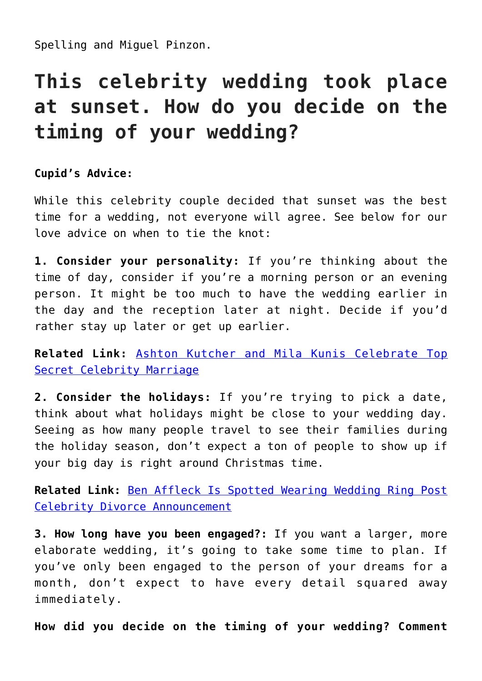Spelling and Miguel Pinzon.

### **This celebrity wedding took place at sunset. How do you decide on the timing of your wedding?**

### **Cupid's Advice:**

While this celebrity couple decided that sunset was the best time for a wedding, not everyone will agree. See below for our love advice on when to tie the knot:

**1. Consider your personality:** If you're thinking about the time of day, consider if you're a morning person or an evening person. It might be too much to have the wedding earlier in the day and the reception later at night. Decide if you'd rather stay up later or get up earlier.

**Related Link:** [Ashton Kutcher and Mila Kunis Celebrate Top](http://cupidspulse.com/95018/ashton-kutcher-mila-kunis-celebrate-top-secret-celebrity-marriage/) [Secret Celebrity Marriage](http://cupidspulse.com/95018/ashton-kutcher-mila-kunis-celebrate-top-secret-celebrity-marriage/)

**2. Consider the holidays:** If you're trying to pick a date, think about what holidays might be close to your wedding day. Seeing as how many people travel to see their families during the holiday season, don't expect a ton of people to show up if your big day is right around Christmas time.

**Related Link:** [Ben Affleck Is Spotted Wearing Wedding Ring Post](http://cupidspulse.com/95552/ben-affleck-wearing-wedding-ring-post-celebrity-divorce-announcement/) [Celebrity Divorce Announcement](http://cupidspulse.com/95552/ben-affleck-wearing-wedding-ring-post-celebrity-divorce-announcement/)

**3. How long have you been engaged?:** If you want a larger, more elaborate wedding, it's going to take some time to plan. If you've only been engaged to the person of your dreams for a month, don't expect to have every detail squared away immediately.

**How did you decide on the timing of your wedding? Comment**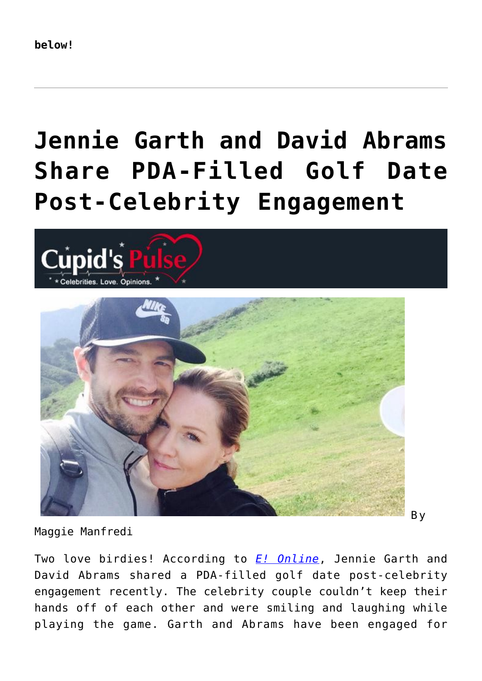# **[Jennie Garth and David Abrams](https://cupidspulse.com/92182/jennie-garth-david-abrams-pda-filled-golf-date-post-celebrity-engagement/) [Share PDA-Filled Golf Date](https://cupidspulse.com/92182/jennie-garth-david-abrams-pda-filled-golf-date-post-celebrity-engagement/) [Post-Celebrity Engagement](https://cupidspulse.com/92182/jennie-garth-david-abrams-pda-filled-golf-date-post-celebrity-engagement/)**





Maggie Manfredi

Two love birdies! According to *[E! Online](http://www.eonline.com/news/650906/jennie-garth-and-fiance-david-abrams-share-a-kiss-during-pda-filled-golf-date)*, Jennie Garth and David Abrams shared a PDA-filled golf date post-celebrity engagement recently. The celebrity couple couldn't keep their hands off of each other and were smiling and laughing while playing the game. Garth and Abrams have been engaged for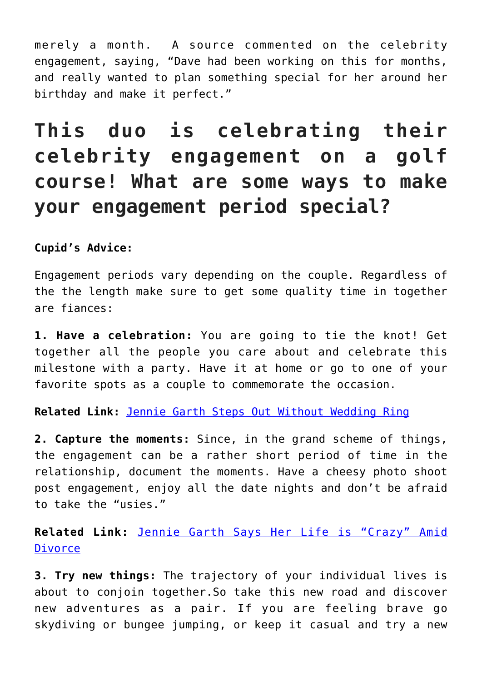merely a month. A source commented on the celebrity engagement, saying, "Dave had been working on this for months, and really wanted to plan something special for her around her birthday and make it perfect."

### **This duo is celebrating their celebrity engagement on a golf course! What are some ways to make your engagement period special?**

**Cupid's Advice:**

Engagement periods vary depending on the couple. Regardless of the the length make sure to get some quality time in together are fiances:

**1. Have a celebration:** You are going to tie the knot! Get together all the people you care about and celebrate this milestone with a party. Have it at home or go to one of your favorite spots as a couple to commemorate the occasion.

**Related Link:** [Jennie Garth Steps Out Without Wedding Ring](http://cupidspulse.com/29022/jennie-garth-steps-out-without-wedding-ring-peter-facinelli-divorce/)

**2. Capture the moments:** Since, in the grand scheme of things, the engagement can be a rather short period of time in the relationship, document the moments. Have a cheesy photo shoot post engagement, enjoy all the date nights and don't be afraid to take the "usies."

**Related Link:** [Jennie Garth Says Her Life is "Crazy" Amid](http://cupidspulse.com/29095/jennie-garth-says-her-personal-life-is-crazy-amid-divorce/) [Divorce](http://cupidspulse.com/29095/jennie-garth-says-her-personal-life-is-crazy-amid-divorce/)

**3. Try new things:** The trajectory of your individual lives is about to conjoin together.So take this new road and discover new adventures as a pair. If you are feeling brave go skydiving or bungee jumping, or keep it casual and try a new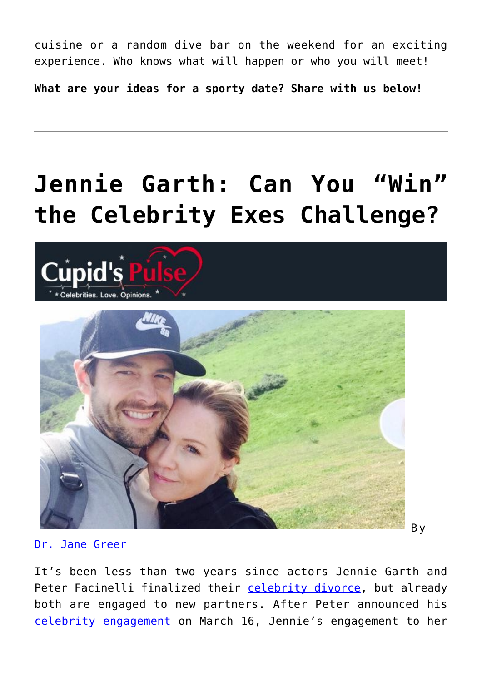cuisine or a random dive bar on the weekend for an exciting experience. Who knows what will happen or who you will meet!

**What are your ideas for a sporty date? Share with us below!** 

# **[Jennie Garth: Can You "Win"](https://cupidspulse.com/91539/jennie-garth-win-celebrity-exes-breakup/) [the Celebrity Exes Challenge?](https://cupidspulse.com/91539/jennie-garth-win-celebrity-exes-breakup/)**





[Dr. Jane Greer](https://www.psychologytoday.com/blog/shrink-wrap/201504/jennie-garth-can-you-win-the-breakup)

It's been less than two years since actors Jennie Garth and Peter Facinelli finalized their [celebrity divorce,](http://cupidspulse.com/celebrity-relationships/break-up-divorce/) but already both are engaged to new partners. After Peter announced his [celebrity engagement o](http://cupidspulse.com/celebrity-relationships/wedding-engagement/)n March 16, Jennie's engagement to her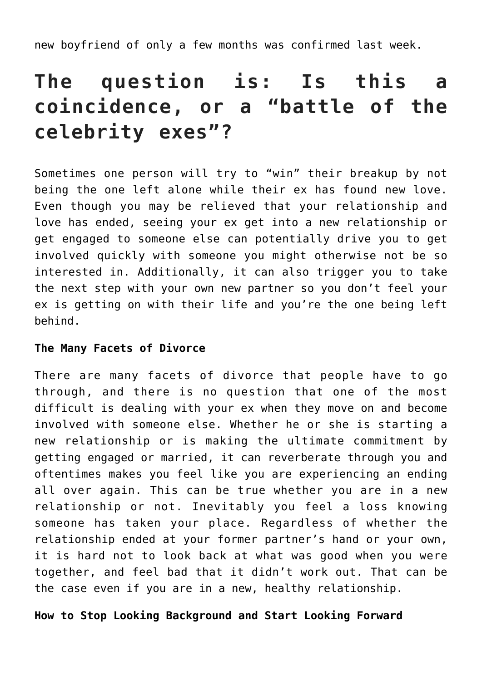new boyfriend of only a few months was confirmed last week.

### **The question is: Is this a coincidence, or a "battle of the celebrity exes"?**

Sometimes one person will try to "win" their breakup by not being the one left alone while their ex has found new love. Even though you may be relieved that your relationship and love has ended, seeing your ex get into a new relationship or get engaged to someone else can potentially drive you to get involved quickly with someone you might otherwise not be so interested in. Additionally, it can also trigger you to take the next step with your own new partner so you don't feel your ex is getting on with their life and you're the one being left behind.

#### **The Many Facets of Divorce**

There are many facets of divorce that people have to go through, and there is no question that one of the most difficult is dealing with your ex when they move on and become involved with someone else. Whether he or she is starting a new relationship or is making the ultimate commitment by getting engaged or married, it can reverberate through you and oftentimes makes you feel like you are experiencing an ending all over again. This can be true whether you are in a new relationship or not. Inevitably you feel a loss knowing someone has taken your place. Regardless of whether the relationship ended at your former partner's hand or your own, it is hard not to look back at what was good when you were together, and feel bad that it didn't work out. That can be the case even if you are in a new, healthy relationship.

#### **How to Stop Looking Background and Start Looking Forward**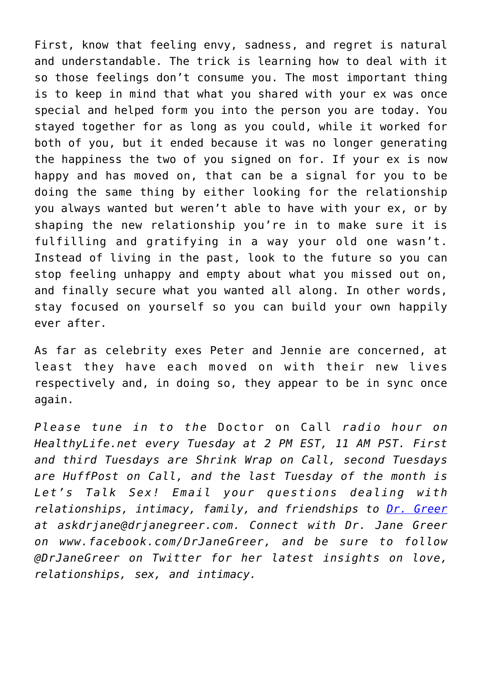First, know that feeling envy, sadness, and regret is natural and understandable. The trick is learning how to deal with it so those feelings don't consume you. The most important thing is to keep in mind that what you shared with your ex was once special and helped form you into the person you are today. You stayed together for as long as you could, while it worked for both of you, but it ended because it was no longer generating the happiness the two of you signed on for. If your ex is now happy and has moved on, that can be a signal for you to be doing the same thing by either looking for the relationship you always wanted but weren't able to have with your ex, or by shaping the new relationship you're in to make sure it is fulfilling and gratifying in a way your old one wasn't. Instead of living in the past, look to the future so you can stop feeling unhappy and empty about what you missed out on, and finally secure what you wanted all along. In other words, stay focused on yourself so you can build your own happily ever after.

As far as celebrity exes Peter and Jennie are concerned, at least they have each moved on with their new lives respectively and, in doing so, they appear to be in sync once again.

*Please tune in to the* Doctor on Call *radio hour on HealthyLife.net every Tuesday at 2 PM EST, 11 AM PST. First and third Tuesdays are Shrink Wrap on Call, second Tuesdays are HuffPost on Call, and the last Tuesday of the month is Let's Talk Sex! Email your questions dealing with relationships, intimacy, family, and friendships to [Dr. Greer](http://www.drjanegreer.com) at askdrjane@drjanegreer.com. Connect with Dr. Jane Greer on www.facebook.com/DrJaneGreer, and be sure to follow @DrJaneGreer on Twitter for her latest insights on love, relationships, sex, and intimacy.*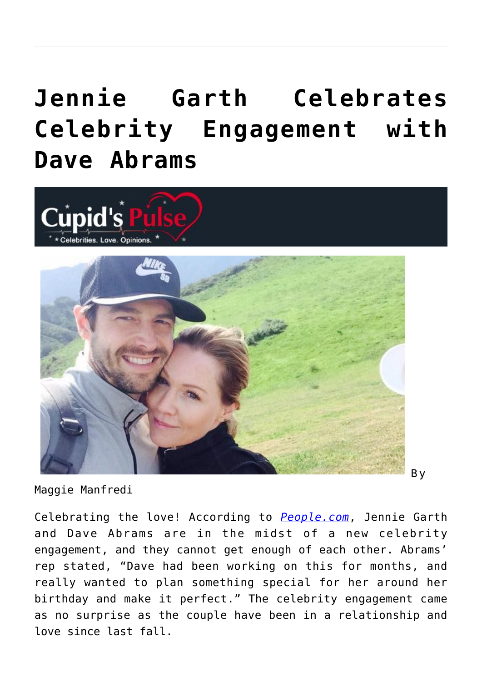## **[Jennie Garth Celebrates](https://cupidspulse.com/90712/jennie-garth-celebrates-celebrity-engagement-with-dave-abrams/) [Celebrity Engagement with](https://cupidspulse.com/90712/jennie-garth-celebrates-celebrity-engagement-with-dave-abrams/) [Dave Abrams](https://cupidspulse.com/90712/jennie-garth-celebrates-celebrity-engagement-with-dave-abrams/)**





Maggie Manfredi

Celebrating the love! According to *[People.com](http://www.people.com/article/jennie-garth-engaged-david-abrams)*, Jennie Garth and Dave Abrams are in the midst of a new celebrity engagement, and they cannot get enough of each other. Abrams' rep stated, "Dave had been working on this for months, and really wanted to plan something special for her around her birthday and make it perfect." The celebrity engagement came as no surprise as the couple have been in a relationship and love since last fall.

B y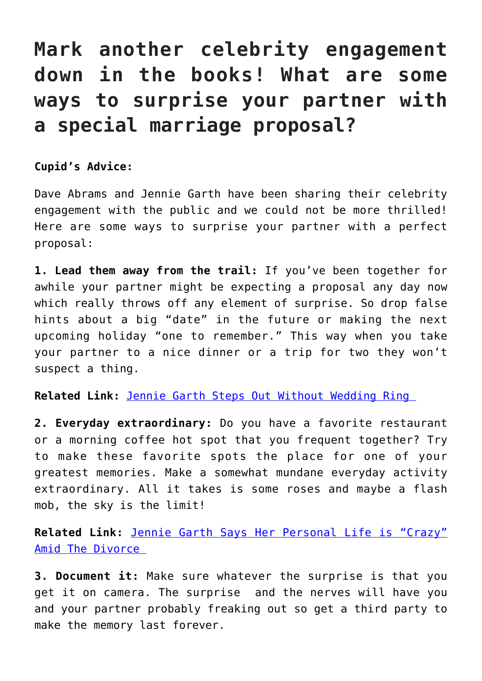### **Mark another celebrity engagement down in the books! What are some ways to surprise your partner with a special marriage proposal?**

**Cupid's Advice:** 

Dave Abrams and Jennie Garth have been sharing their celebrity engagement with the public and we could not be more thrilled! Here are some ways to surprise your partner with a perfect proposal:

**1. Lead them away from the trail:** If you've been together for awhile your partner might be expecting a proposal any day now which really throws off any element of surprise. So drop false hints about a big "date" in the future or making the next upcoming holiday "one to remember." This way when you take your partner to a nice dinner or a trip for two they won't suspect a thing.

**Related Link:** [Jennie Garth Steps Out Without Wedding Ring](http://cupidspulse.com/29022/jennie-garth-steps-out-without-wedding-ring-peter-facinelli-divorce/) 

**2. Everyday extraordinary:** Do you have a favorite restaurant or a morning coffee hot spot that you frequent together? Try to make these favorite spots the place for one of your greatest memories. Make a somewhat mundane everyday activity extraordinary. All it takes is some roses and maybe a flash mob, the sky is the limit!

**Related Link:** [Jennie Garth Says Her Personal Life is "Crazy"](http://cupidspulse.com/29095/jennie-garth-says-her-personal-life-is-crazy-amid-divorce/) [Amid The Divorce](http://cupidspulse.com/29095/jennie-garth-says-her-personal-life-is-crazy-amid-divorce/) 

**3. Document it:** Make sure whatever the surprise is that you get it on camera. The surprise and the nerves will have you and your partner probably freaking out so get a third party to make the memory last forever.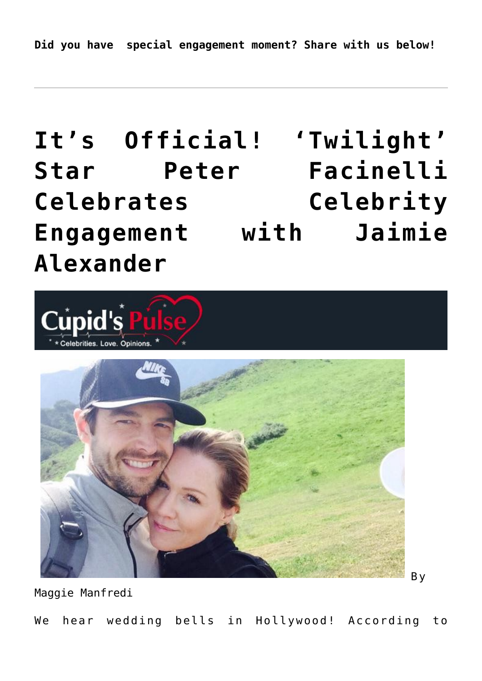### **[It's Official! 'Twilight'](https://cupidspulse.com/89139/peter-facinelli-celebrity-engagement-jaimie-alexander/) [Star Peter Facinelli](https://cupidspulse.com/89139/peter-facinelli-celebrity-engagement-jaimie-alexander/) [Celebrates Celebrity](https://cupidspulse.com/89139/peter-facinelli-celebrity-engagement-jaimie-alexander/) [Engagement with Jaimie](https://cupidspulse.com/89139/peter-facinelli-celebrity-engagement-jaimie-alexander/) [Alexander](https://cupidspulse.com/89139/peter-facinelli-celebrity-engagement-jaimie-alexander/)**





Maggie Manfredi

We hear wedding bells in Hollywood! According to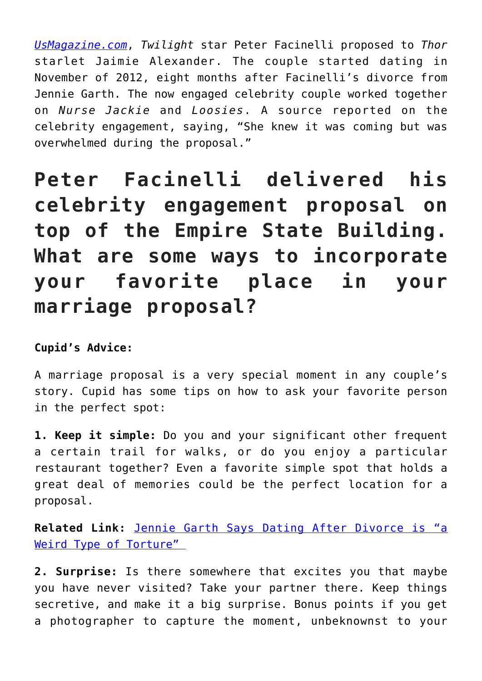*[UsMagazine.com](http://www.usmagazine.com/celebrity-news/news/peter-facinelli-engaged-to-girlfriend-jaimie-alexander-2015183)*, *Twilight* star Peter Facinelli proposed to *Thor* starlet Jaimie Alexander. The couple started dating in November of 2012, eight months after Facinelli's divorce from Jennie Garth. The now engaged celebrity couple worked together on *Nurse Jackie* and *Loosies*. A source reported on the celebrity engagement, saying, "She knew it was coming but was overwhelmed during the proposal."

**Peter Facinelli delivered his celebrity engagement proposal on top of the Empire State Building. What are some ways to incorporate your favorite place in your marriage proposal?**

### **Cupid's Advice:**

A marriage proposal is a very special moment in any couple's story. Cupid has some tips on how to ask your favorite person in the perfect spot:

**1. Keep it simple:** Do you and your significant other frequent a certain trail for walks, or do you enjoy a particular restaurant together? Even a favorite simple spot that holds a great deal of memories could be the perfect location for a proposal.

**Related Link:** [Jennie Garth Says Dating After Divorce is "a](http://cupidspulse.com/60590/jennie-garth-dating-after-divorce-torture/) [Weird Type of Torture"](http://cupidspulse.com/60590/jennie-garth-dating-after-divorce-torture/) 

**2. Surprise:** Is there somewhere that excites you that maybe you have never visited? Take your partner there. Keep things secretive, and make it a big surprise. Bonus points if you get a photographer to capture the moment, unbeknownst to your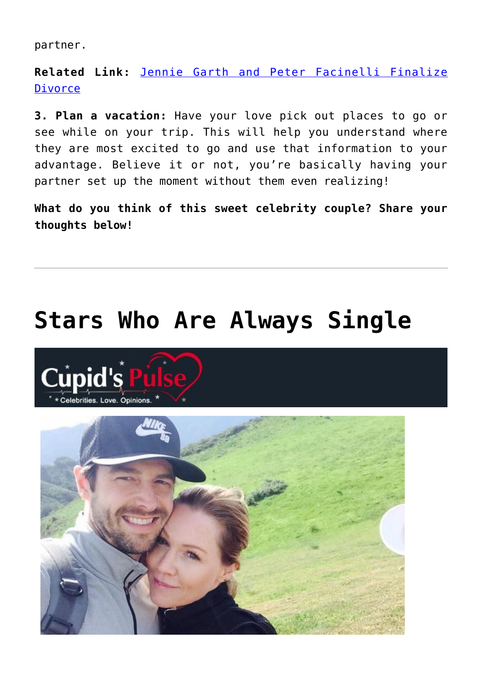partner.

**Related Link:** [Jennie Garth and Peter Facinelli Finalize](http://cupidspulse.com/51919/jennie-garth-peter-facinelli-finalize-divorce-separation/) [Divorce](http://cupidspulse.com/51919/jennie-garth-peter-facinelli-finalize-divorce-separation/)

**3. Plan a vacation:** Have your love pick out places to go or see while on your trip. This will help you understand where they are most excited to go and use that information to your advantage. Believe it or not, you're basically having your partner set up the moment without them even realizing!

**What do you think of this sweet celebrity couple? Share your thoughts below!**

### **[Stars Who Are Always Single](https://cupidspulse.com/81324/single-celebrities/)**



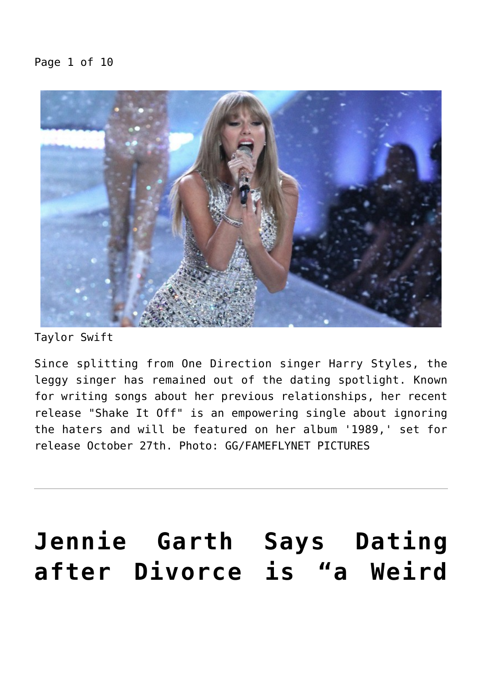### Page 1 of 10



Taylor Swift

Since splitting from One Direction singer Harry Styles, the leggy singer has remained out of the dating spotlight. Known for writing songs about her previous relationships, her recent release "Shake It Off" is an empowering single about ignoring the haters and will be featured on her album '1989,' set for release October 27th. Photo: GG/FAMEFLYNET PICTURES

### **[Jennie Garth Says Dating](https://cupidspulse.com/60590/jennie-garth-dating-after-divorce-torture/) [after Divorce is "a Weird](https://cupidspulse.com/60590/jennie-garth-dating-after-divorce-torture/)**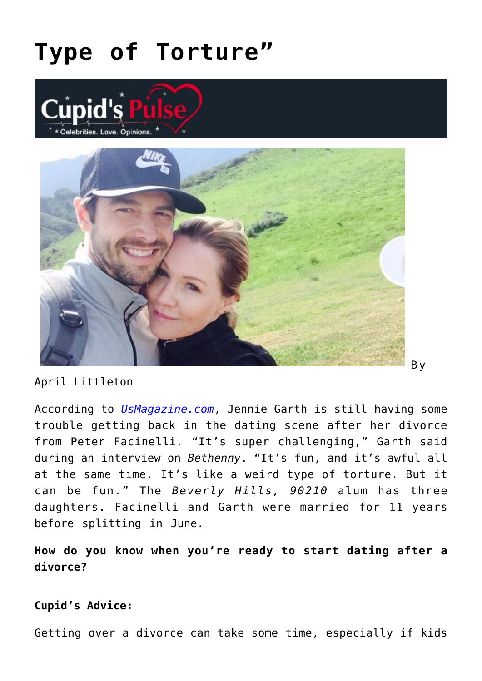## **[Type of Torture"](https://cupidspulse.com/60590/jennie-garth-dating-after-divorce-torture/)**





April Littleton

According to *[UsMagazine.com](http://www.usmagazine.com/celebrity-news/news/jennie-garth-on-dating-after-peter-facinelli-divorce-its-a-weird-type-of-torture-20132110)*, Jennie Garth is still having some trouble getting back in the dating scene after her divorce from Peter Facinelli. "It's super challenging," Garth said during an interview on *Bethenny*. "It's fun, and it's awful all at the same time. It's like a weird type of torture. But it can be fun." The *Beverly Hills, 90210* alum has three daughters. Facinelli and Garth were married for 11 years before splitting in June.

B y

**How do you know when you're ready to start dating after a divorce?**

#### **Cupid's Advice:**

Getting over a divorce can take some time, especially if kids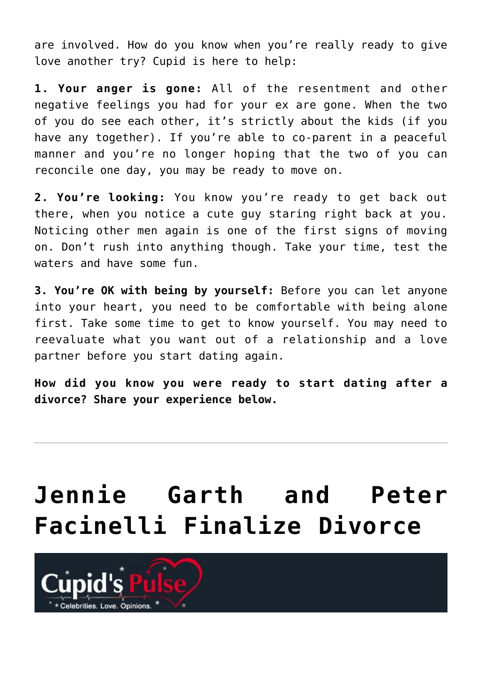are involved. How do you know when you're really ready to give love another try? Cupid is here to help:

**1. Your anger is gone:** All of the resentment and other negative feelings you had for your ex are gone. When the two of you do see each other, it's strictly about the kids (if you have any together). If you're able to co-parent in a peaceful manner and you're no longer hoping that the two of you can reconcile one day, you may be ready to move on.

**2. You're looking:** You know you're ready to get back out there, when you notice a cute guy staring right back at you. Noticing other men again is one of the first signs of moving on. Don't rush into anything though. Take your time, test the waters and have some fun.

**3. You're OK with being by yourself:** Before you can let anyone into your heart, you need to be comfortable with being alone first. Take some time to get to know yourself. You may need to reevaluate what you want out of a relationship and a love partner before you start dating again.

**How did you know you were ready to start dating after a divorce? Share your experience below.**

# **[Jennie Garth and Peter](https://cupidspulse.com/51919/jennie-garth-peter-facinelli-finalize-divorce-separation/) [Facinelli Finalize Divorce](https://cupidspulse.com/51919/jennie-garth-peter-facinelli-finalize-divorce-separation/)**

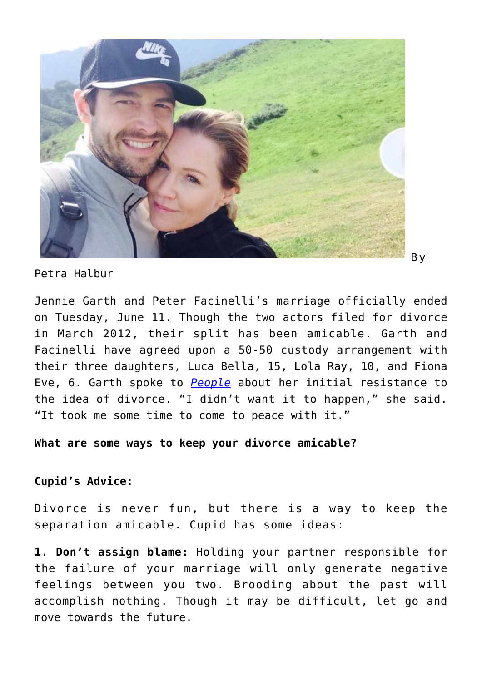

Petra Halbur

Jennie Garth and Peter Facinelli's marriage officially ended on Tuesday, June 11. Though the two actors filed for divorce in March 2012, their split has been amicable. Garth and Facinelli have agreed upon a 50-50 custody arrangement with their three daughters, Luca Bella, 15, Lola Ray, 10, and Fiona Eve, 6. Garth spoke to *[People](http://www.people.com/people/article/0,,20708505,00.html)* about her initial resistance to the idea of divorce. "I didn't want it to happen," she said. "It took me some time to come to peace with it."

#### **What are some ways to keep your divorce amicable?**

#### **Cupid's Advice:**

Divorce is never fun, but there is a way to keep the separation amicable. Cupid has some ideas:

**1. Don't assign blame:** Holding your partner responsible for the failure of your marriage will only generate negative feelings between you two. Brooding about the past will accomplish nothing. Though it may be difficult, let go and move towards the future.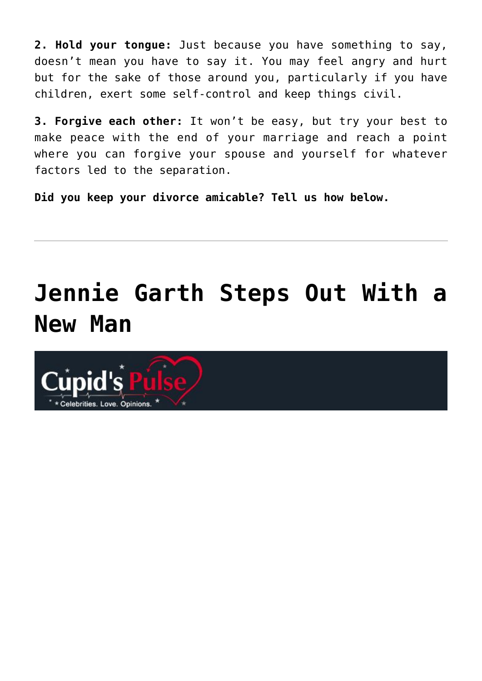**2. Hold your tongue:** Just because you have something to say, doesn't mean you have to say it. You may feel angry and hurt but for the sake of those around you, particularly if you have children, exert some self-control and keep things civil.

**3. Forgive each other:** It won't be easy, but try your best to make peace with the end of your marriage and reach a point where you can forgive your spouse and yourself for whatever factors led to the separation.

**Did you keep your divorce amicable? Tell us how below.**

# **[Jennie Garth Steps Out With a](https://cupidspulse.com/43656/jennie-garth-new-man-jeremy-salken-big-gigantic/) [New Man](https://cupidspulse.com/43656/jennie-garth-new-man-jeremy-salken-big-gigantic/)**

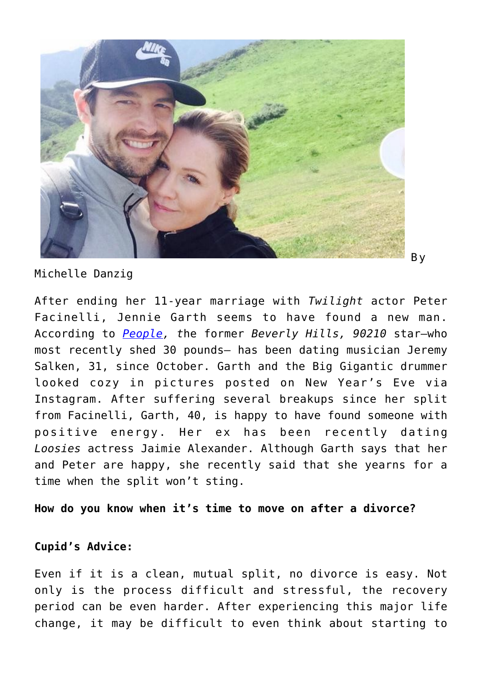

Michelle Danzig

After ending her 11-year marriage with *Twilight* actor Peter Facinelli, Jennie Garth seems to have found a new man. According to *[People](http://www.people.com/people/article/0,,20663930,00.html), t*he former *Beverly Hills, 90210* star–who most recently shed 30 pounds– has been dating musician Jeremy Salken, 31, since October. Garth and the Big Gigantic drummer looked cozy in pictures posted on New Year's Eve via Instagram. After suffering several breakups since her split from Facinelli, Garth, 40, is happy to have found someone with positive energy. Her ex has been recently dating *Loosies* actress Jaimie Alexander. Although Garth says that her and Peter are happy, she recently said that she yearns for a time when the split won't sting.

**How do you know when it's time to move on after a divorce?**

#### **Cupid's Advice:**

Even if it is a clean, mutual split, no divorce is easy. Not only is the process difficult and stressful, the recovery period can be even harder. After experiencing this major life change, it may be difficult to even think about starting to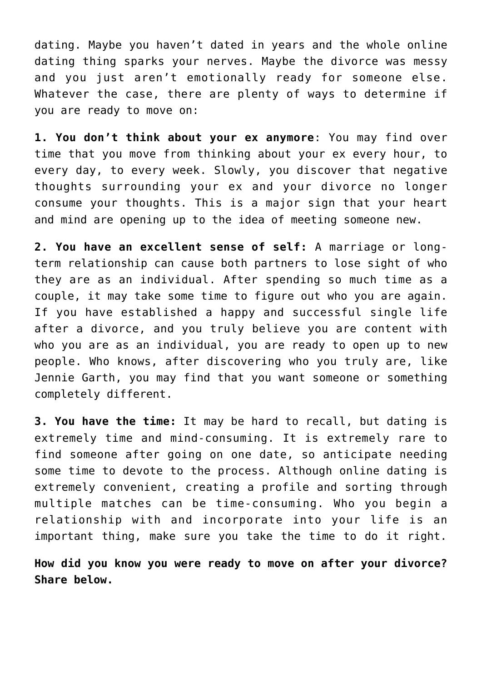dating. Maybe you haven't dated in years and the whole online dating thing sparks your nerves. Maybe the divorce was messy and you just aren't emotionally ready for someone else. Whatever the case, there are plenty of ways to determine if you are ready to move on:

**1. You don't think about your ex anymore**: You may find over time that you move from thinking about your ex every hour, to every day, to every week. Slowly, you discover that negative thoughts surrounding your ex and your divorce no longer consume your thoughts. This is a major sign that your heart and mind are opening up to the idea of meeting someone new.

**2. You have an excellent sense of self:** A marriage or longterm relationship can cause both partners to lose sight of who they are as an individual. After spending so much time as a couple, it may take some time to figure out who you are again. If you have established a happy and successful single life after a divorce, and you truly believe you are content with who you are as an individual, you are ready to open up to new people. Who knows, after discovering who you truly are, like Jennie Garth, you may find that you want someone or something completely different.

**3. You have the time:** It may be hard to recall, but dating is extremely time and mind-consuming. It is extremely rare to find someone after going on one date, so anticipate needing some time to devote to the process. Although online dating is extremely convenient, creating a profile and sorting through multiple matches can be time-consuming. Who you begin a relationship with and incorporate into your life is an important thing, make sure you take the time to do it right.

**How did you know you were ready to move on after your divorce? Share below.**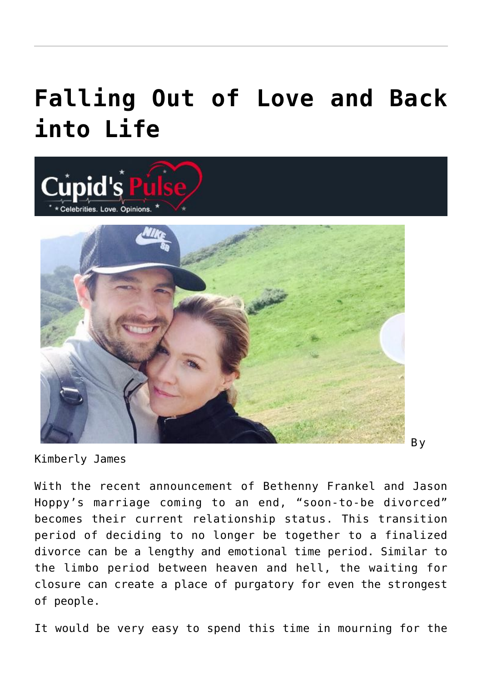## **[Falling Out of Love and Back](https://cupidspulse.com/43585/falling-out-love-back-into-life/) [into Life](https://cupidspulse.com/43585/falling-out-love-back-into-life/)**



Kimberly James

With the recent announcement of Bethenny Frankel and Jason Hoppy's marriage coming to an end, "soon-to-be divorced" becomes their current relationship status. This transition period of deciding to no longer be together to a finalized divorce can be a lengthy and emotional time period. Similar to the limbo period between heaven and hell, the waiting for closure can create a place of purgatory for even the strongest of people.

It would be very easy to spend this time in mourning for the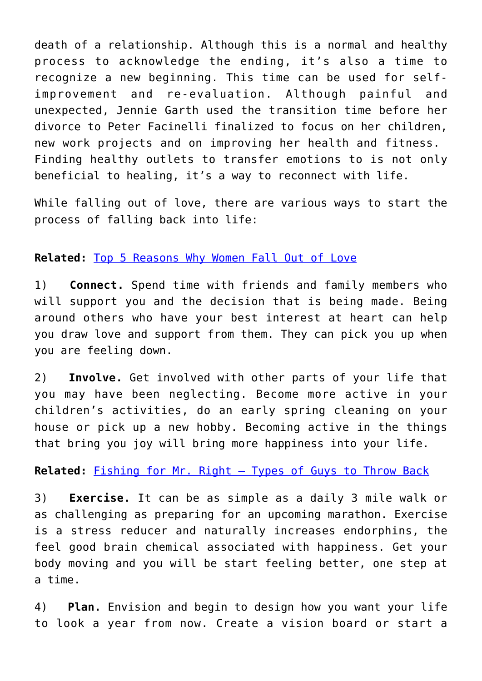death of a relationship. Although this is a normal and healthy process to acknowledge the ending, it's also a time to recognize a new beginning. This time can be used for selfimprovement and re-evaluation. Although painful and unexpected, Jennie Garth used the transition time before her divorce to Peter Facinelli finalized to focus on her children, new work projects and on improving her health and fitness. Finding healthy outlets to transfer emotions to is not only beneficial to healing, it's a way to reconnect with life.

While falling out of love, there are various ways to start the process of falling back into life:

### **Related:** [Top 5 Reasons Why Women Fall Out of Love](http://cupidspulse.com/top-five-reasons-why-women-fall-out-of-love/)

1) **Connect.** Spend time with friends and family members who will support you and the decision that is being made. Being around others who have your best interest at heart can help you draw love and support from them. They can pick you up when you are feeling down.

2) **Involve.** Get involved with other parts of your life that you may have been neglecting. Become more active in your children's activities, do an early spring cleaning on your house or pick up a new hobby. Becoming active in the things that bring you joy will bring more happiness into your life.

**Related:** [Fishing for Mr. Right – Types of Guys to Throw Back](http://cupidspulse.com/fishing-mr-right-types-of-guys-to-throw-back/)

3) **Exercise.** It can be as simple as a daily 3 mile walk or as challenging as preparing for an upcoming marathon. Exercise is a stress reducer and naturally increases endorphins, the feel good brain chemical associated with happiness. Get your body moving and you will be start feeling better, one step at a time.

4) **Plan.** Envision and begin to design how you want your life to look a year from now. Create a vision board or start a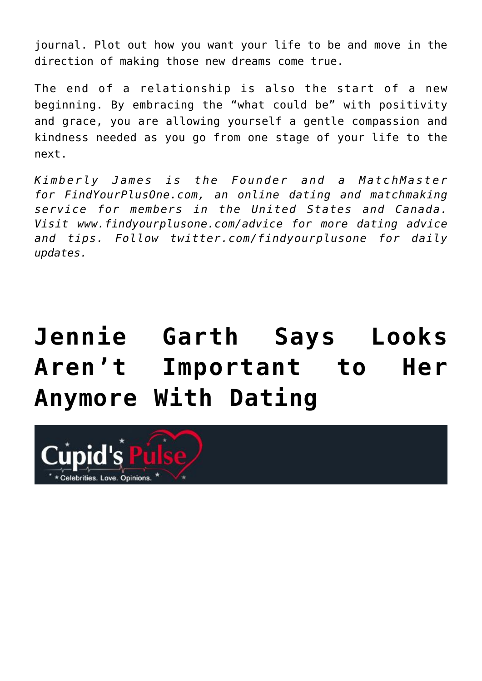journal. Plot out how you want your life to be and move in the direction of making those new dreams come true.

The end of a relationship is also the start of a new beginning. By embracing the "what could be" with positivity and grace, you are allowing yourself a gentle compassion and kindness needed as you go from one stage of your life to the next.

*Kimberly James is the Founder and a MatchMaster for FindYourPlusOne.com, an online dating and matchmaking service for members in the United States and Canada. Visit www.findyourplusone.com/advice for more dating advice and tips. Follow twitter.com/findyourplusone for daily updates.* 

# **[Jennie Garth Says Looks](https://cupidspulse.com/43399/jennie-garth-says-looks-not-important-anymore-dating/) [Aren't Important to Her](https://cupidspulse.com/43399/jennie-garth-says-looks-not-important-anymore-dating/) [Anymore With Dating](https://cupidspulse.com/43399/jennie-garth-says-looks-not-important-anymore-dating/)**

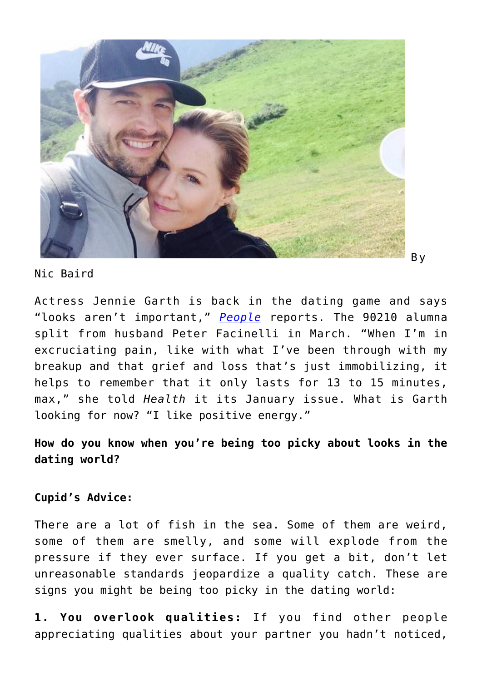

Nic Baird

Actress Jennie Garth is back in the dating game and says "looks aren't important," *[People](http://www.people.com/people/article/0,,20660836,00.html)* reports. The 90210 alumna split from husband Peter Facinelli in March. "When I'm in excruciating pain, like with what I've been through with my breakup and that grief and loss that's just immobilizing, it helps to remember that it only lasts for 13 to 15 minutes, max," she told *Health* it its January issue. What is Garth looking for now? "I like positive energy."

**How do you know when you're being too picky about looks in the dating world?**

#### **Cupid's Advice:**

There are a lot of fish in the sea. Some of them are weird, some of them are smelly, and some will explode from the pressure if they ever surface. If you get a bit, don't let unreasonable standards jeopardize a quality catch. These are signs you might be being too picky in the dating world:

**1. You overlook qualities:** If you find other people appreciating qualities about your partner you hadn't noticed,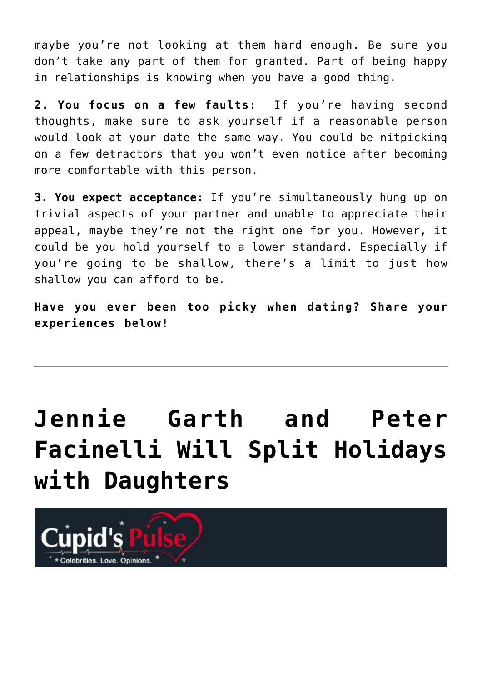maybe you're not looking at them hard enough. Be sure you don't take any part of them for granted. Part of being happy in relationships is knowing when you have a good thing.

**2. You focus on a few faults:** If you're having second thoughts, make sure to ask yourself if a reasonable person would look at your date the same way. You could be nitpicking on a few detractors that you won't even notice after becoming more comfortable with this person.

**3. You expect acceptance:** If you're simultaneously hung up on trivial aspects of your partner and unable to appreciate their appeal, maybe they're not the right one for you. However, it could be you hold yourself to a lower standard. Especially if you're going to be shallow, there's a limit to just how shallow you can afford to be.

**Have you ever been too picky when dating? Share your experiences below!**

# **[Jennie Garth and Peter](https://cupidspulse.com/41304/jennie-garth-peter-facinelli-split-holidays-daughters/) [Facinelli Will Split Holidays](https://cupidspulse.com/41304/jennie-garth-peter-facinelli-split-holidays-daughters/) [with Daughters](https://cupidspulse.com/41304/jennie-garth-peter-facinelli-split-holidays-daughters/)**

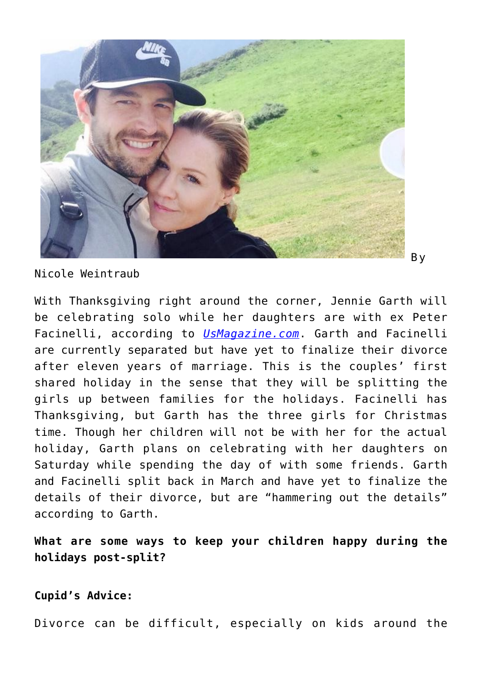

Nicole Weintraub

With Thanksgiving right around the corner, Jennie Garth will be celebrating solo while her daughters are with ex Peter Facinelli, according to *[UsMagazine.com](http://www.usmagazine.com/celebrity-news/news/jennie-garth-peter-facinelli-splitting-holidays-with-daughters-20121411)*. Garth and Facinelli are currently separated but have yet to finalize their divorce after eleven years of marriage. This is the couples' first shared holiday in the sense that they will be splitting the girls up between families for the holidays. Facinelli has Thanksgiving, but Garth has the three girls for Christmas time. Though her children will not be with her for the actual holiday, Garth plans on celebrating with her daughters on Saturday while spending the day of with some friends. Garth and Facinelli split back in March and have yet to finalize the details of their divorce, but are "hammering out the details" according to Garth.

**What are some ways to keep your children happy during the holidays post-split?**

**Cupid's Advice:**

Divorce can be difficult, especially on kids around the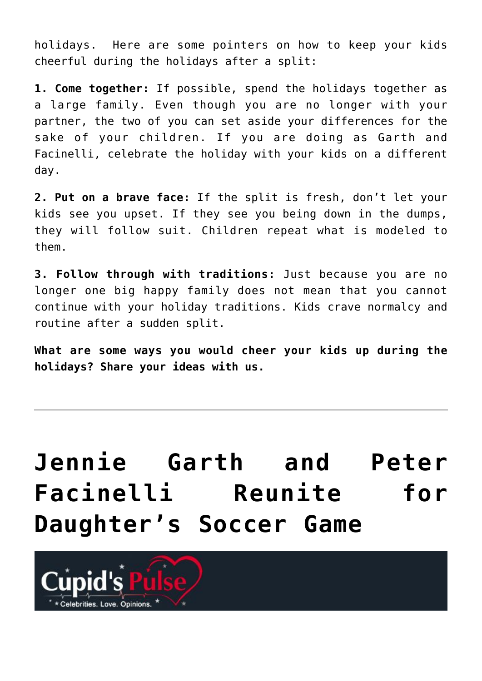holidays. Here are some pointers on how to keep your kids cheerful during the holidays after a split:

**1. Come together:** If possible, spend the holidays together as a large family. Even though you are no longer with your partner, the two of you can set aside your differences for the sake of your children. If you are doing as Garth and Facinelli, celebrate the holiday with your kids on a different day.

**2. Put on a brave face:** If the split is fresh, don't let your kids see you upset. If they see you being down in the dumps, they will follow suit. Children repeat what is modeled to them.

**3. Follow through with traditions:** Just because you are no longer one big happy family does not mean that you cannot continue with your holiday traditions. Kids crave normalcy and routine after a sudden split.

**What are some ways you would cheer your kids up during the holidays? Share your ideas with us.**

## **[Jennie Garth and Peter](https://cupidspulse.com/41194/jennie-garth-peter-facinelli-exes-daughter-soccer-game/) [Facinelli Reunite for](https://cupidspulse.com/41194/jennie-garth-peter-facinelli-exes-daughter-soccer-game/) [Daughter's Soccer Game](https://cupidspulse.com/41194/jennie-garth-peter-facinelli-exes-daughter-soccer-game/)**

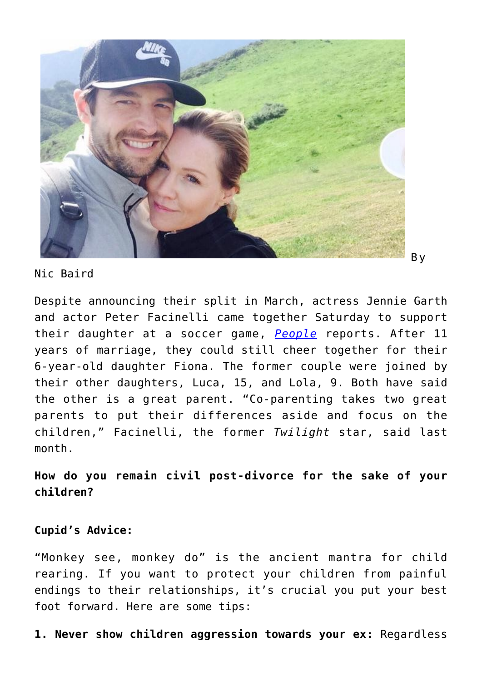

Nic Baird

Despite announcing their split in March, actress Jennie Garth and actor Peter Facinelli came together Saturday to support their daughter at a soccer game, *[People](http://www.people.com/people/article/0,,20647122,00.html)* reports. After 11 years of marriage, they could still cheer together for their 6-year-old daughter Fiona. The former couple were joined by their other daughters, Luca, 15, and Lola, 9. Both have said the other is a great parent. "Co-parenting takes two great parents to put their differences aside and focus on the children," Facinelli, the former *Twilight* star, said last month.

**How do you remain civil post-divorce for the sake of your children?**

### **Cupid's Advice:**

"Monkey see, monkey do" is the ancient mantra for child rearing. If you want to protect your children from painful endings to their relationships, it's crucial you put your best foot forward. Here are some tips:

**1. Never show children aggression towards your ex:** Regardless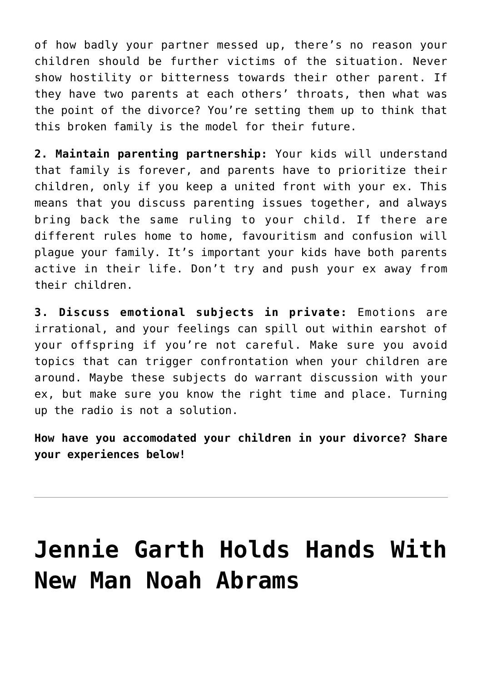of how badly your partner messed up, there's no reason your children should be further victims of the situation. Never show hostility or bitterness towards their other parent. If they have two parents at each others' throats, then what was the point of the divorce? You're setting them up to think that this broken family is the model for their future.

**2. Maintain parenting partnership:** Your kids will understand that family is forever, and parents have to prioritize their children, only if you keep a united front with your ex. This means that you discuss parenting issues together, and always bring back the same ruling to your child. If there are different rules home to home, favouritism and confusion will plague your family. It's important your kids have both parents active in their life. Don't try and push your ex away from their children.

**3. Discuss emotional subjects in private:** Emotions are irrational, and your feelings can spill out within earshot of your offspring if you're not careful. Make sure you avoid topics that can trigger confrontation when your children are around. Maybe these subjects do warrant discussion with your ex, but make sure you know the right time and place. Turning up the radio is not a solution.

**How have you accomodated your children in your divorce? Share your experiences below!**

### **[Jennie Garth Holds Hands With](https://cupidspulse.com/36932/jennie-garth-holds-hands-new-man-noah-abrams/) [New Man Noah Abrams](https://cupidspulse.com/36932/jennie-garth-holds-hands-new-man-noah-abrams/)**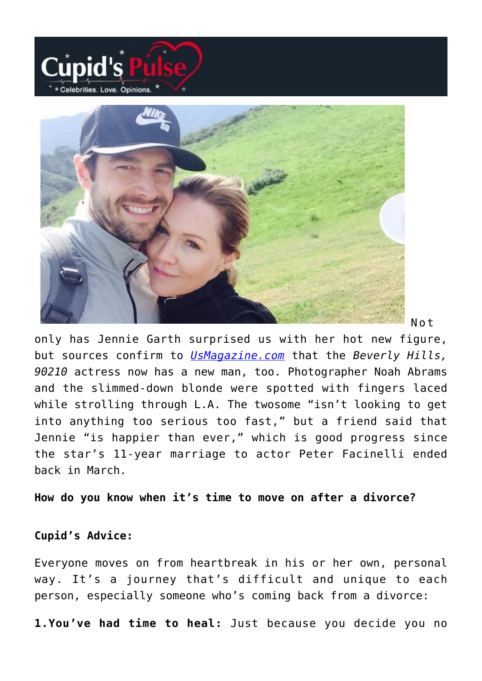



Not

only has Jennie Garth surprised us with her hot new figure, but sources confirm to *[UsMagazine.com](http://www.usmagazine.com/celebrity-news/news/pic-jennie-garth-holds-hands-with-new-man-noah-abrams-2012168)* that the *Beverly Hills, 90210* actress now has a new man, too. Photographer Noah Abrams and the slimmed-down blonde were spotted with fingers laced while strolling through L.A. The twosome "isn't looking to get into anything too serious too fast," but a friend said that Jennie "is happier than ever," which is good progress since the star's 11-year marriage to actor Peter Facinelli ended back in March.

**How do you know when it's time to move on after a divorce?**

#### **Cupid's Advice:**

Everyone moves on from heartbreak in his or her own, personal way. It's a journey that's difficult and unique to each person, especially someone who's coming back from a divorce:

**1.You've had time to heal:** Just because you decide you no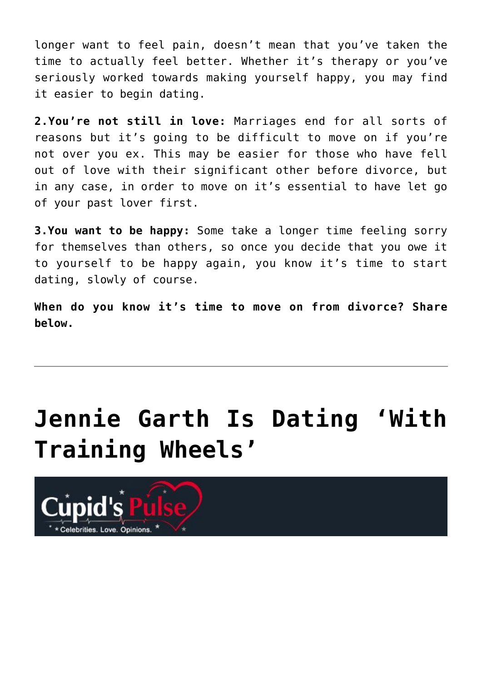longer want to feel pain, doesn't mean that you've taken the time to actually feel better. Whether it's therapy or you've seriously worked towards making yourself happy, you may find it easier to begin dating.

**2.You're not still in love:** Marriages end for all sorts of reasons but it's going to be difficult to move on if you're not over you ex. This may be easier for those who have fell out of love with their significant other before divorce, but in any case, in order to move on it's essential to have let go of your past lover first.

**3.You want to be happy:** Some take a longer time feeling sorry for themselves than others, so once you decide that you owe it to yourself to be happy again, you know it's time to start dating, slowly of course.

**When do you know it's time to move on from divorce? Share below.**

## **[Jennie Garth Is Dating 'With](https://cupidspulse.com/36567/jennie-garth-dating-training-wheels/) [Training Wheels'](https://cupidspulse.com/36567/jennie-garth-dating-training-wheels/)**

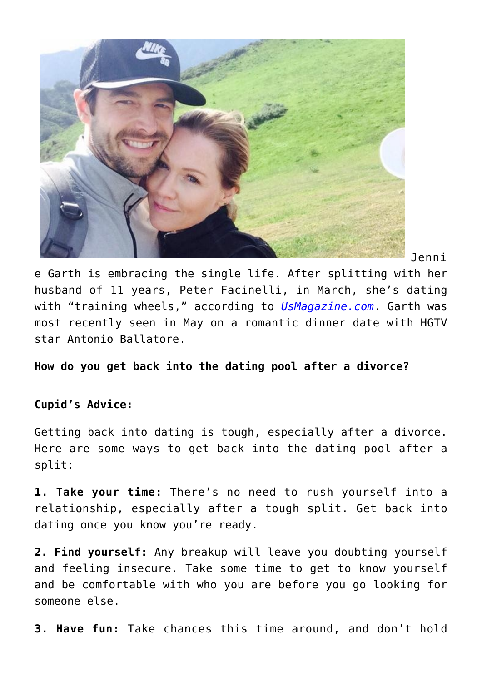

Jenni

e Garth is embracing the single life. After splitting with her husband of 11 years, Peter Facinelli, in March, she's dating with "training wheels," according to *[UsMagazine.com](http://www.usmagazine.com/celebrity-news/news/jennie-garth-is-dating-with-training-wheels-on-post-split-201288)*. Garth was most recently seen in May on a romantic dinner date with HGTV star Antonio Ballatore.

**How do you get back into the dating pool after a divorce?**

### **Cupid's Advice:**

Getting back into dating is tough, especially after a divorce. Here are some ways to get back into the dating pool after a split:

**1. Take your time:** There's no need to rush yourself into a relationship, especially after a tough split. Get back into dating once you know you're ready.

**2. Find yourself:** Any breakup will leave you doubting yourself and feeling insecure. Take some time to get to know yourself and be comfortable with who you are before you go looking for someone else.

**3. Have fun:** Take chances this time around, and don't hold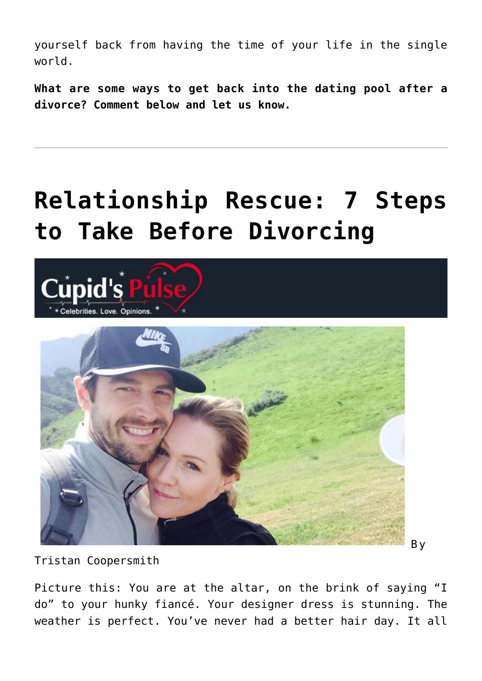yourself back from having the time of your life in the single world.

**What are some ways to get back into the dating pool after a divorce? Comment below and let us know.**

## **[Relationship Rescue: 7 Steps](https://cupidspulse.com/30978/relationship-rescue-7-steps-to-take-before-divorcing/) [to Take Before Divorcing](https://cupidspulse.com/30978/relationship-rescue-7-steps-to-take-before-divorcing/)**



Tristan Coopersmith

Picture this: You are at the altar, on the brink of saying "I do" to your hunky fiancé. Your designer dress is stunning. The weather is perfect. You've never had a better hair day. It all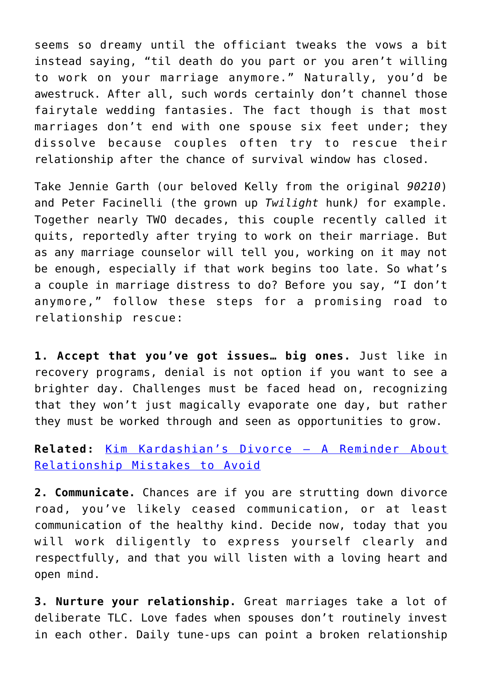seems so dreamy until the officiant tweaks the vows a bit instead saying, "til death do you part or you aren't willing to work on your marriage anymore." Naturally, you'd be awestruck. After all, such words certainly don't channel those fairytale wedding fantasies. The fact though is that most marriages don't end with one spouse six feet under; they dissolve because couples often try to rescue their relationship after the chance of survival window has closed.

Take Jennie Garth (our beloved Kelly from the original *90210*) and Peter Facinelli (the grown up *Twilight* hunk*)* for example. Together nearly TWO decades, this couple recently called it quits, reportedly after trying to work on their marriage. But as any marriage counselor will tell you, working on it may not be enough, especially if that work begins too late. So what's a couple in marriage distress to do? Before you say, "I don't anymore," follow these steps for a promising road to relationship rescue:

**1. Accept that you've got issues… big ones.** Just like in recovery programs, denial is not option if you want to see a brighter day. Challenges must be faced head on, recognizing that they won't just magically evaporate one day, but rather they must be worked through and seen as opportunities to grow.

**Related:** [Kim Kardashian's Divorce – A Reminder About](http://cupidspulse.com/kim-kardashian-divorce-reminder-relationship-mistakes-avoid-kris-humphries-marriage-split-breakup/) [Relationship Mistakes to Avoid](http://cupidspulse.com/kim-kardashian-divorce-reminder-relationship-mistakes-avoid-kris-humphries-marriage-split-breakup/)

**2. Communicate.** Chances are if you are strutting down divorce road, you've likely ceased communication, or at least communication of the healthy kind. Decide now, today that you will work diligently to express yourself clearly and respectfully, and that you will listen with a loving heart and open mind.

**3. Nurture your relationship.** Great marriages take a lot of deliberate TLC. Love fades when spouses don't routinely invest in each other. Daily tune-ups can point a broken relationship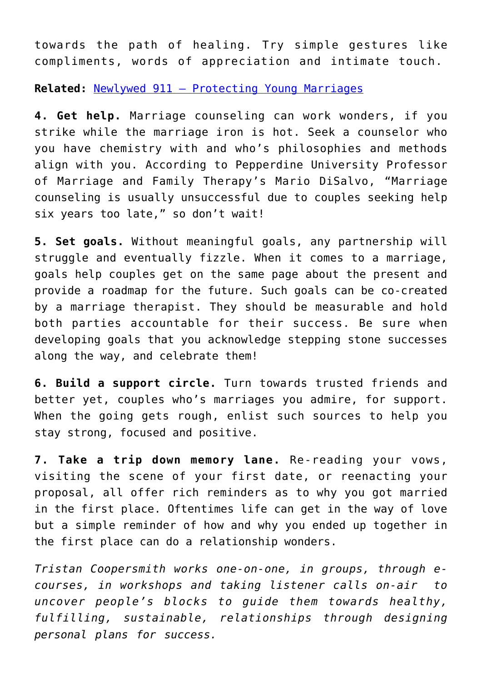towards the path of healing. Try simple gestures like compliments, words of appreciation and intimate touch.

**Related:** [Newlywed 911 – Protecting Young Marriages](http://cupidspulse.com/newlywed-911-protecting-young-marriages/)

**4. Get help.** Marriage counseling can work wonders, if you strike while the marriage iron is hot. Seek a counselor who you have chemistry with and who's philosophies and methods align with you. According to Pepperdine University Professor of Marriage and Family Therapy's Mario DiSalvo, "Marriage counseling is usually unsuccessful due to couples seeking help six years too late," so don't wait!

**5. Set goals.** Without meaningful goals, any partnership will struggle and eventually fizzle. When it comes to a marriage, goals help couples get on the same page about the present and provide a roadmap for the future. Such goals can be co-created by a marriage therapist. They should be measurable and hold both parties accountable for their success. Be sure when developing goals that you acknowledge stepping stone successes along the way, and celebrate them!

**6. Build a support circle.** Turn towards trusted friends and better yet, couples who's marriages you admire, for support. When the going gets rough, enlist such sources to help you stay strong, focused and positive.

**7. Take a trip down memory lane.** Re-reading your vows, visiting the scene of your first date, or reenacting your proposal, all offer rich reminders as to why you got married in the first place. Oftentimes life can get in the way of love but a simple reminder of how and why you ended up together in the first place can do a relationship wonders.

*Tristan Coopersmith works one-on-one, in groups, through ecourses, in workshops and taking listener calls on-air to uncover people's blocks to guide them towards healthy, fulfilling, sustainable, relationships through designing personal plans for success.*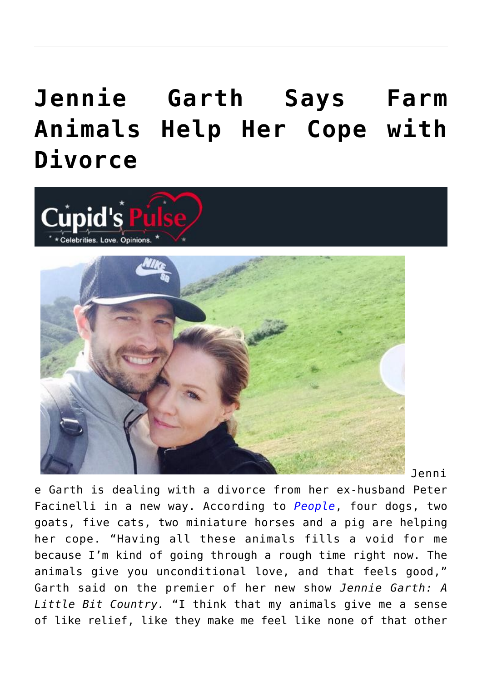## **[Jennie Garth Says Farm](https://cupidspulse.com/30580/jennie-garth-says-farm-animals-help-her-cope-with-divorce/) [Animals Help Her Cope with](https://cupidspulse.com/30580/jennie-garth-says-farm-animals-help-her-cope-with-divorce/) [Divorce](https://cupidspulse.com/30580/jennie-garth-says-farm-animals-help-her-cope-with-divorce/)**





Jenni

e Garth is dealing with a divorce from her ex-husband Peter Facinelli in a new way. According to *[People](http://www.peoplepets.com/people/pets)*, four dogs, two goats, five cats, two miniature horses and a pig are helping her cope. "Having all these animals fills a void for me because I'm kind of going through a rough time right now. The animals give you unconditional love, and that feels good," Garth said on the premier of her new show *Jennie Garth: A Little Bit Country.* "I think that my animals give me a sense of like relief, like they make me feel like none of that other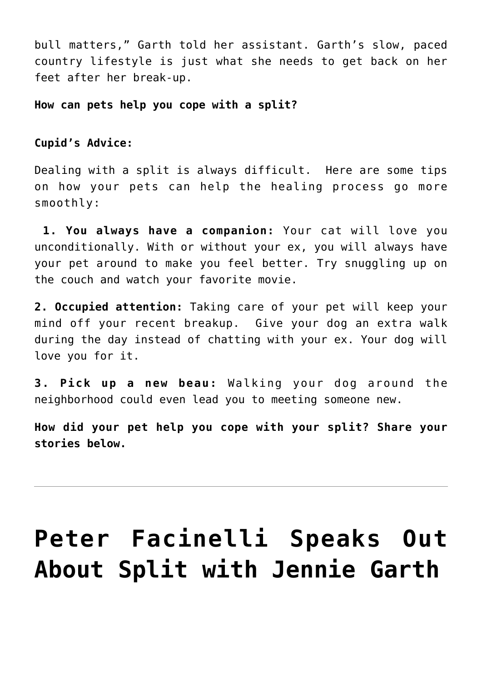bull matters," Garth told her assistant. Garth's slow, paced country lifestyle is just what she needs to get back on her feet after her break-up.

**How can pets help you cope with a split?**

#### **Cupid's Advice:**

Dealing with a split is always difficult. Here are some tips on how your pets can help the healing process go more smoothly:

**1. You always have a companion:** Your cat will love you unconditionally. With or without your ex, you will always have your pet around to make you feel better. Try snuggling up on the couch and watch your favorite movie.

**2. Occupied attention:** Taking care of your pet will keep your mind off your recent breakup. Give your dog an extra walk during the day instead of chatting with your ex. Your dog will love you for it.

**3. Pick up a new beau:** Walking your dog around the neighborhood could even lead you to meeting someone new.

**How did your pet help you cope with your split? Share your stories below.**

# **[Peter Facinelli Speaks Out](https://cupidspulse.com/29788/peter-facinelli-speaks-out-split-ex-jennie-garth/) [About Split with Jennie Garth](https://cupidspulse.com/29788/peter-facinelli-speaks-out-split-ex-jennie-garth/)**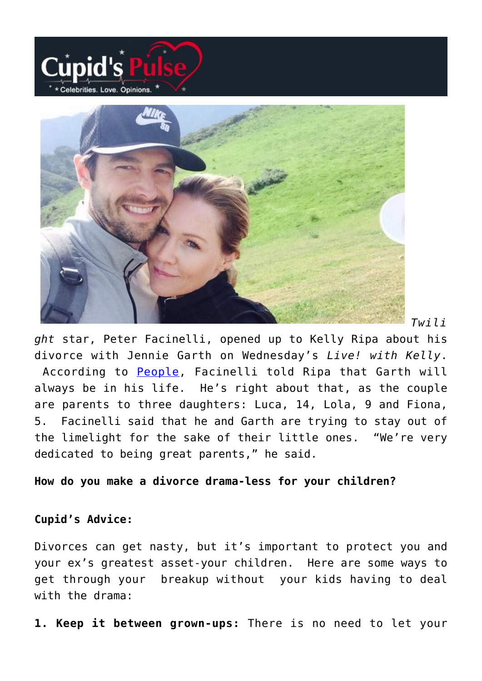



*Twili*

*ght* star, Peter Facinelli, opened up to Kelly Ripa about his divorce with Jennie Garth on Wednesday's *Live! with Kelly*. According to [People,](http://www.people.com/people/article/0,,20584285,00.html) Facinelli told Ripa that Garth will always be in his life. He's right about that, as the couple are parents to three daughters: Luca, 14, Lola, 9 and Fiona, 5. Facinelli said that he and Garth are trying to stay out of the limelight for the sake of their little ones. "We're very dedicated to being great parents," he said.

#### **How do you make a divorce drama-less for your children?**

### **Cupid's Advice:**

Divorces can get nasty, but it's important to protect you and your ex's greatest asset-your children. Here are some ways to get through your breakup without your kids having to deal with the drama:

**1. Keep it between grown-ups:** There is no need to let your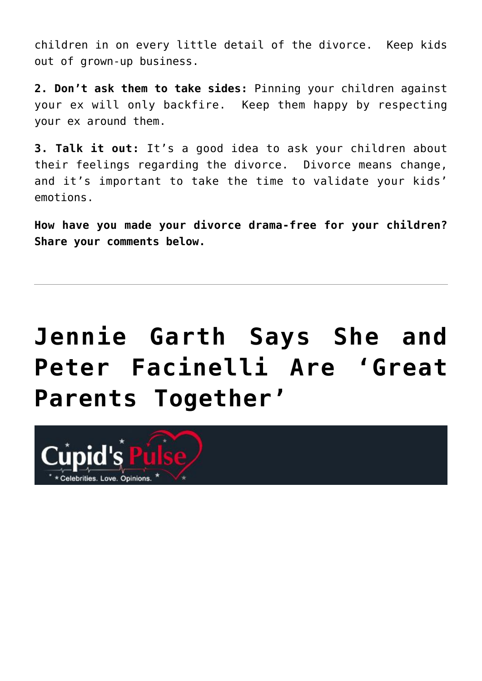children in on every little detail of the divorce. Keep kids out of grown-up business.

**2. Don't ask them to take sides:** Pinning your children against your ex will only backfire. Keep them happy by respecting your ex around them.

**3. Talk it out:** It's a good idea to ask your children about their feelings regarding the divorce. Divorce means change, and it's important to take the time to validate your kids' emotions.

**How have you made your divorce drama-free for your children? Share your comments below.**

# **[Jennie Garth Says She and](https://cupidspulse.com/29509/jennie-garth-peter-facinelli-great-parents-together-divorce/) [Peter Facinelli Are 'Great](https://cupidspulse.com/29509/jennie-garth-peter-facinelli-great-parents-together-divorce/) [Parents Together'](https://cupidspulse.com/29509/jennie-garth-peter-facinelli-great-parents-together-divorce/)**

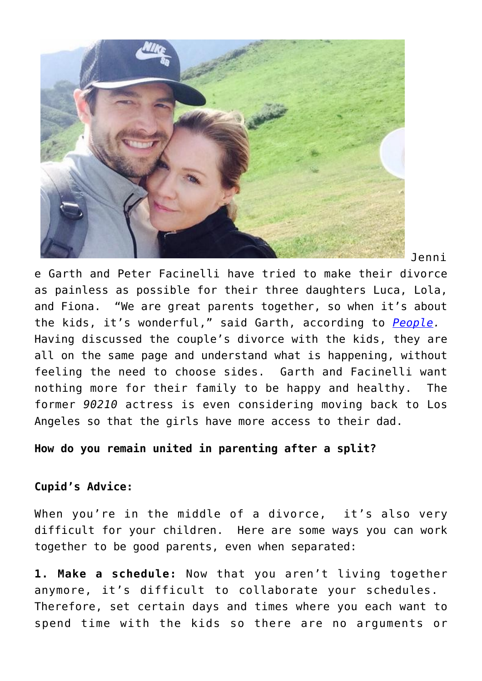

Jenni

e Garth and Peter Facinelli have tried to make their divorce as painless as possible for their three daughters Luca, Lola, and Fiona. "We are great parents together, so when it's about the kids, it's wonderful," said Garth, according to *[People.](http://www.people.com/people/)* Having discussed the couple's divorce with the kids, they are all on the same page and understand what is happening, without feeling the need to choose sides. Garth and Facinelli want nothing more for their family to be happy and healthy. The former *90210* actress is even considering moving back to Los Angeles so that the girls have more access to their dad.

**How do you remain united in parenting after a split?**

### **Cupid's Advice:**

When you're in the middle of a divorce, it's also very difficult for your children. Here are some ways you can work together to be good parents, even when separated:

**1. Make a schedule:** Now that you aren't living together anymore, it's difficult to collaborate your schedules. Therefore, set certain days and times where you each want to spend time with the kids so there are no arguments or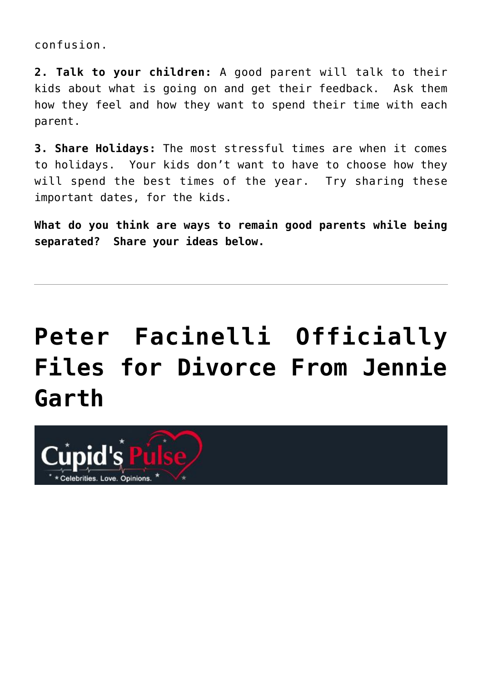confusion.

**2. Talk to your children:** A good parent will talk to their kids about what is going on and get their feedback. Ask them how they feel and how they want to spend their time with each parent.

**3. Share Holidays:** The most stressful times are when it comes to holidays. Your kids don't want to have to choose how they will spend the best times of the year. Try sharing these important dates, for the kids.

**What do you think are ways to remain good parents while being separated? Share your ideas below.**

# **[Peter Facinelli Officially](https://cupidspulse.com/29413/peter-facinelli-jennie-garth-divorce-split/) [Files for Divorce From Jennie](https://cupidspulse.com/29413/peter-facinelli-jennie-garth-divorce-split/) [Garth](https://cupidspulse.com/29413/peter-facinelli-jennie-garth-divorce-split/)**

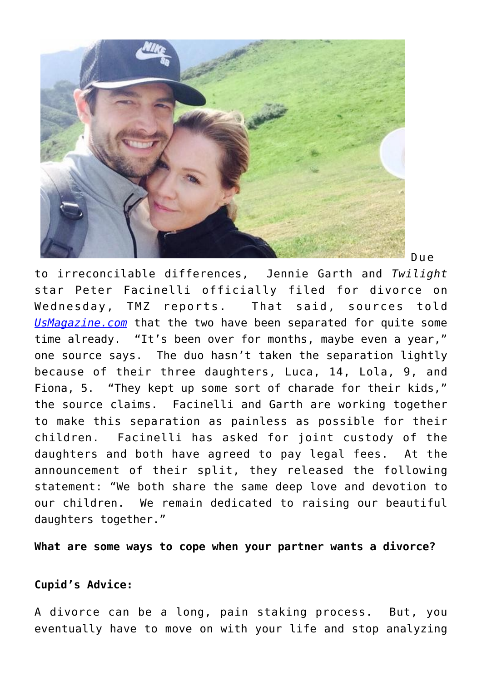

Due

to irreconcilable differences, Jennie Garth and *Twilight* star Peter Facinelli officially filed for divorce on Wednesday, TMZ reports. That said, sources told *[UsMagazine.com](http://www.usmagazine.com/)* that the two have been separated for quite some time already. "It's been over for months, maybe even a year," one source says. The duo hasn't taken the separation lightly because of their three daughters, Luca, 14, Lola, 9, and Fiona, 5. "They kept up some sort of charade for their kids," the source claims. Facinelli and Garth are working together to make this separation as painless as possible for their children. Facinelli has asked for joint custody of the daughters and both have agreed to pay legal fees. At the announcement of their split, they released the following statement: "We both share the same deep love and devotion to our children. We remain dedicated to raising our beautiful daughters together."

**What are some ways to cope when your partner wants a divorce?**

#### **Cupid's Advice:**

A divorce can be a long, pain staking process. But, you eventually have to move on with your life and stop analyzing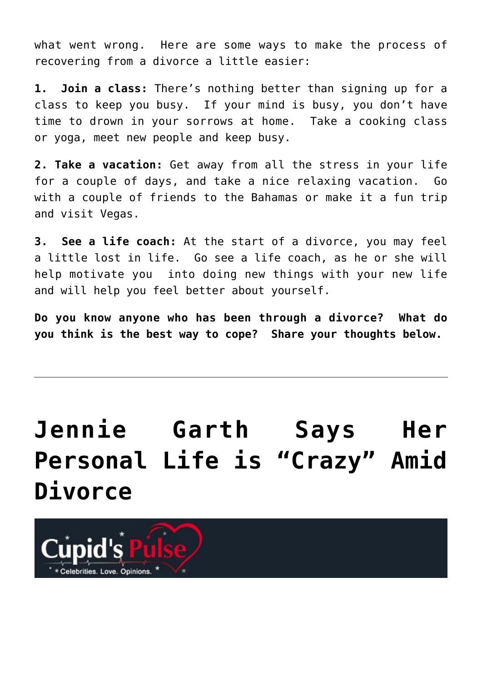what went wrong. Here are some ways to make the process of recovering from a divorce a little easier:

**1. Join a class:** There's nothing better than signing up for a class to keep you busy. If your mind is busy, you don't have time to drown in your sorrows at home. Take a cooking class or yoga, meet new people and keep busy.

**2. Take a vacation:** Get away from all the stress in your life for a couple of days, and take a nice relaxing vacation. Go with a couple of friends to the Bahamas or make it a fun trip and visit Vegas.

**3. See a life coach:** At the start of a divorce, you may feel a little lost in life. Go see a life coach, as he or she will help motivate you into doing new things with your new life and will help you feel better about yourself.

**Do you know anyone who has been through a divorce? What do you think is the best way to cope? Share your thoughts below.**

# **[Jennie Garth Says Her](https://cupidspulse.com/29095/jennie-garth-says-her-personal-life-is-crazy-amid-divorce/) [Personal Life is "Crazy" Amid](https://cupidspulse.com/29095/jennie-garth-says-her-personal-life-is-crazy-amid-divorce/) [Divorce](https://cupidspulse.com/29095/jennie-garth-says-her-personal-life-is-crazy-amid-divorce/)**

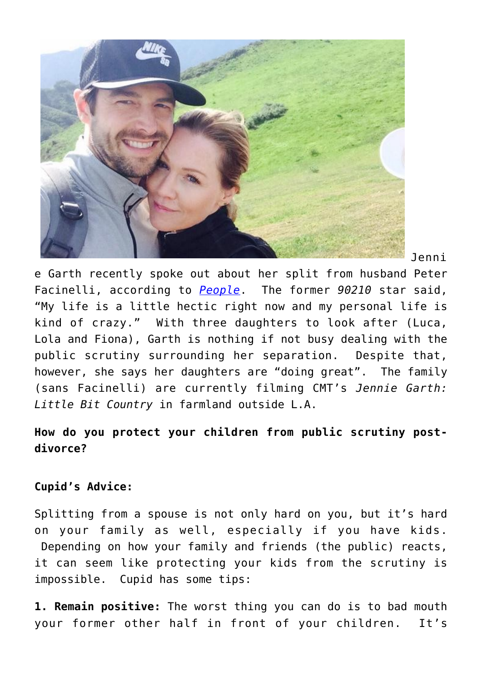

Jenni

e Garth recently spoke out about her split from husband Peter Facinelli, according to *[People](http://www.people.com/people/article/0,,20580126,00.html)*. The former *90210* star said, "My life is a little hectic right now and my personal life is kind of crazy." With three daughters to look after (Luca, Lola and Fiona), Garth is nothing if not busy dealing with the public scrutiny surrounding her separation. Despite that, however, she says her daughters are "doing great". The family (sans Facinelli) are currently filming CMT's *Jennie Garth: Little Bit Country* in farmland outside L.A.

### **How do you protect your children from public scrutiny postdivorce?**

### **Cupid's Advice:**

Splitting from a spouse is not only hard on you, but it's hard on your family as well, especially if you have kids. Depending on how your family and friends (the public) reacts, it can seem like protecting your kids from the scrutiny is impossible. Cupid has some tips:

**1. Remain positive:** The worst thing you can do is to bad mouth your former other half in front of your children. It's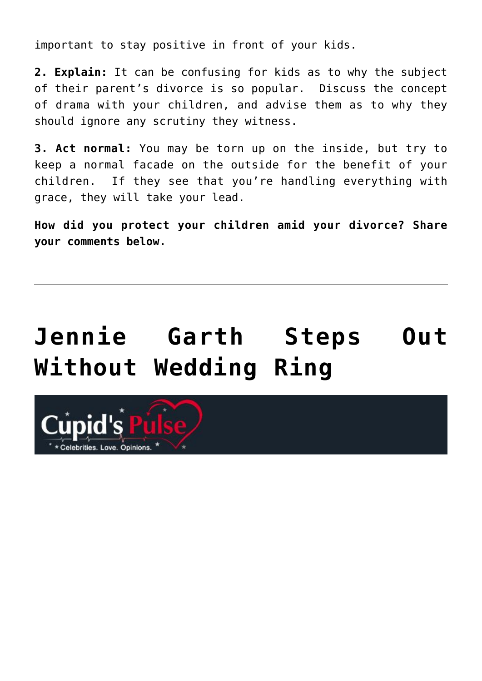important to stay positive in front of your kids.

**2. Explain:** It can be confusing for kids as to why the subject of their parent's divorce is so popular. Discuss the concept of drama with your children, and advise them as to why they should ignore any scrutiny they witness.

**3. Act normal:** You may be torn up on the inside, but try to keep a normal facade on the outside for the benefit of your children. If they see that you're handling everything with grace, they will take your lead.

**How did you protect your children amid your divorce? Share your comments below.**

# **[Jennie Garth Steps Out](https://cupidspulse.com/29022/jennie-garth-steps-out-without-wedding-ring-peter-facinelli-divorce/) [Without Wedding Ring](https://cupidspulse.com/29022/jennie-garth-steps-out-without-wedding-ring-peter-facinelli-divorce/)**

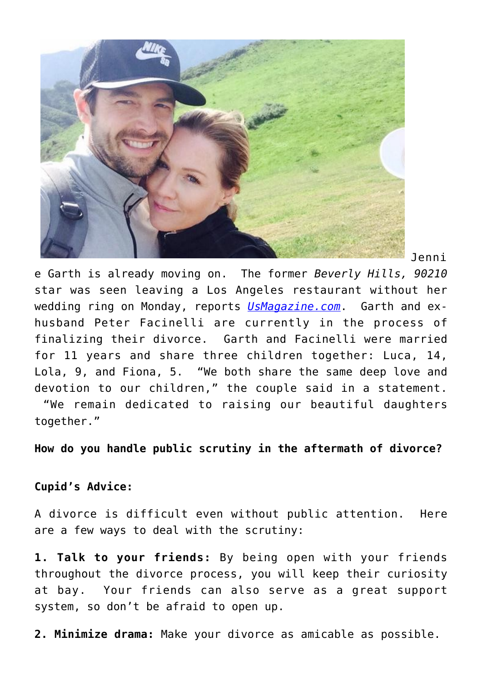

Jenni

e Garth is already moving on. The former *Beverly Hills, 90210* star was seen leaving a Los Angeles restaurant without her wedding ring on Monday, reports *[UsMagazine.com](http://www.usmagazine.com/celebrity-news/news/pic-jennie-garth-takes-off-ring-after-peter-facinelli-split-2012203)*. Garth and exhusband Peter Facinelli are currently in the process of finalizing their divorce. Garth and Facinelli were married for 11 years and share three children together: Luca, 14, Lola, 9, and Fiona, 5. "We both share the same deep love and devotion to our children," the couple said in a statement. "We remain dedicated to raising our beautiful daughters

together."

**How do you handle public scrutiny in the aftermath of divorce?**

### **Cupid's Advice:**

A divorce is difficult even without public attention. Here are a few ways to deal with the scrutiny:

**1. Talk to your friends:** By being open with your friends throughout the divorce process, you will keep their curiosity at bay. Your friends can also serve as a great support system, so don't be afraid to open up.

**2. Minimize drama:** Make your divorce as amicable as possible.